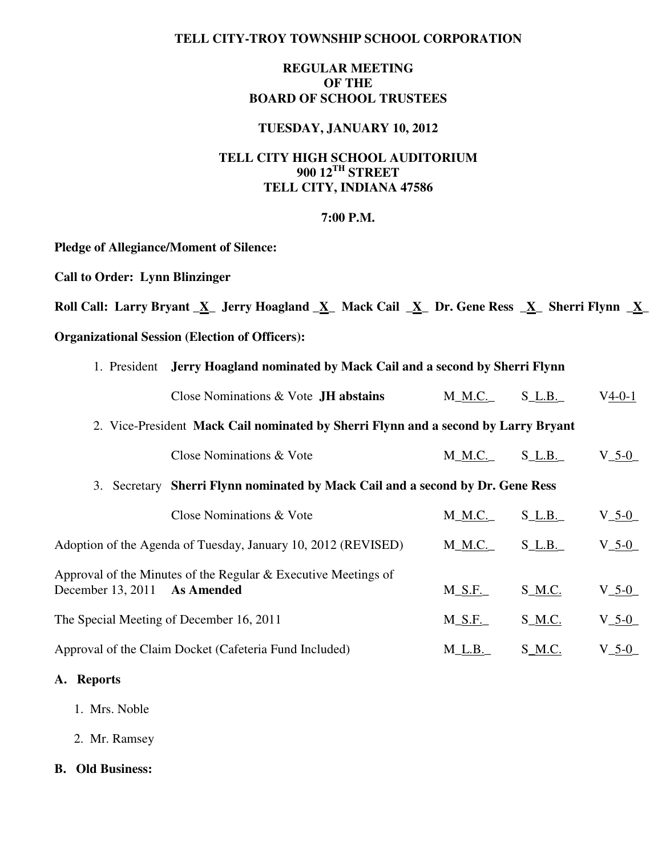## **TELL CITY-TROY TOWNSHIP SCHOOL CORPORATION**

# **REGULAR MEETING OF THE BOARD OF SCHOOL TRUSTEES**

## **TUESDAY, JANUARY 10, 2012**

# **TELL CITY HIGH SCHOOL AUDITORIUM 900 12TH STREET TELL CITY, INDIANA 47586**

#### **7:00 P.M.**

**Pledge of Allegiance/Moment of Silence:** 

**Call to Order: Lynn Blinzinger** 

Roll Call: Larry Bryant X Jerry Hoagland X Mack Cail X Dr. Gene Ress X Sherri Flynn X

## **Organizational Session (Election of Officers):**

| 1. President Jerry Hoagland nominated by Mack Cail and a second by Sherri Flynn |  |
|---------------------------------------------------------------------------------|--|
|                                                                                 |  |

| Close Nominations $& \text{Vote } JH$ abstains | M M.C. | S L.B. | $V4-0-1$ |
|------------------------------------------------|--------|--------|----------|
|------------------------------------------------|--------|--------|----------|

## 2. Vice-President **Mack Cail nominated by Sherri Flynn and a second by Larry Bryant**

|                                                                                                          | Close Nominations & Vote                                          | M M.C.   | $S_L.B.$ | $V_5-0$     |
|----------------------------------------------------------------------------------------------------------|-------------------------------------------------------------------|----------|----------|-------------|
| 3. Secretary                                                                                             | Sherri Flynn nominated by Mack Cail and a second by Dr. Gene Ress |          |          |             |
|                                                                                                          | Close Nominations & Vote                                          | M M.C.   | $S$ L.B. | $V_5-0$     |
|                                                                                                          | Adoption of the Agenda of Tuesday, January 10, 2012 (REVISED)     | M M.C.   | $S$ L.B. | $V_5-0$     |
| Approval of the Minutes of the Regular & Executive Meetings of<br>December 13, 2011<br><b>As Amended</b> |                                                                   | $M_S.F.$ | $S_M.C.$ | $V_5-0$     |
|                                                                                                          | The Special Meeting of December 16, 2011                          | M S.F.   | S M.C.   | $V_{-}$ 5-0 |
|                                                                                                          | Approval of the Claim Docket (Cafeteria Fund Included)            | M L.B.   | S M.C.   | $V_5-0$     |

## **A. Reports**

- 1. Mrs. Noble
- 2. Mr. Ramsey
- **B. Old Business:**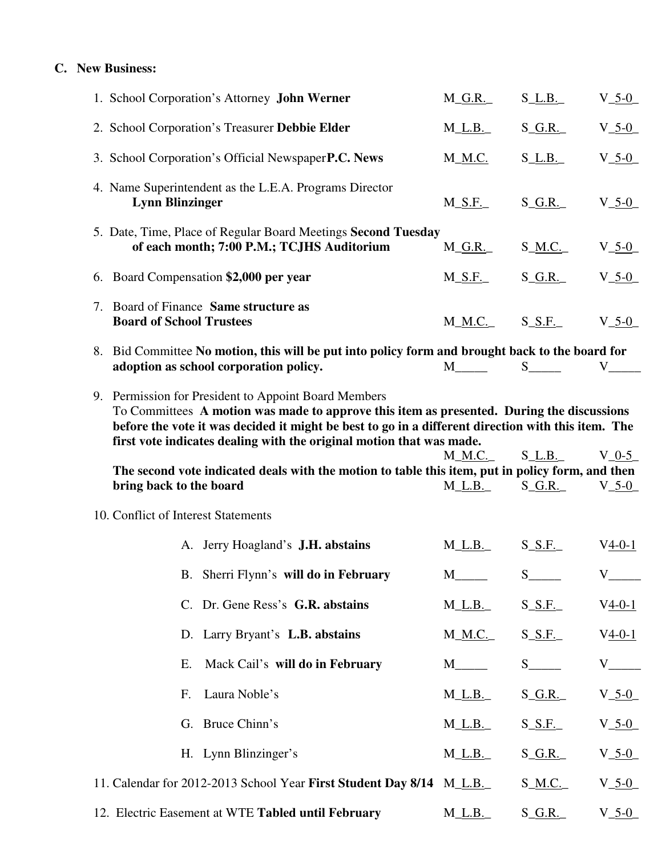# **C. New Business:**

| 1. School Corporation's Attorney John Werner                                                                                                                                                                                                                            | $M_G.R.$              | $S_L.B.$                                  | $V_{-5-0}$                                  |
|-------------------------------------------------------------------------------------------------------------------------------------------------------------------------------------------------------------------------------------------------------------------------|-----------------------|-------------------------------------------|---------------------------------------------|
| 2. School Corporation's Treasurer Debbie Elder                                                                                                                                                                                                                          | $M_{L.B.}$            | $S_G.R.$                                  | $V_{-5-0}$                                  |
| 3. School Corporation's Official Newspaper P.C. News                                                                                                                                                                                                                    | M_ <u>M.C.</u>        | $S_l$ _L.B.                               | $V_{-5-0}$                                  |
| 4. Name Superintendent as the L.E.A. Programs Director<br><b>Lynn Blinzinger</b>                                                                                                                                                                                        | $M_S.F.$              | $S_G.R.$                                  | $V_{-5-0}$                                  |
| 5. Date, Time, Place of Regular Board Meetings Second Tuesday<br>of each month; 7:00 P.M.; TCJHS Auditorium                                                                                                                                                             | $M_{\_G.R.}$          | S_M.C.                                    | $V_{-5-0}$                                  |
| 6. Board Compensation \$2,000 per year                                                                                                                                                                                                                                  | $M_S.F.$              | $S_G.R.$                                  | $V_{-5-0}$                                  |
| 7. Board of Finance Same structure as<br><b>Board of School Trustees</b>                                                                                                                                                                                                | $M\_M.C.$             | $S_S.F.$                                  | $V_{-5-0}$                                  |
| 8. Bid Committee No motion, this will be put into policy form and brought back to the board for<br>adoption as school corporation policy.                                                                                                                               | M <sub>1</sub>        | $S_{\underline{\hspace{1cm}}\phantom{1}}$ | V                                           |
| To Committees A motion was made to approve this item as presented. During the discussions<br>before the vote it was decided it might be best to go in a different direction with this item. The<br>first vote indicates dealing with the original motion that was made. |                       |                                           |                                             |
| The second vote indicated deals with the motion to table this item, put in policy form, and then                                                                                                                                                                        | $M_M.C.$              | $S_L.B.$                                  | $V_0-5$                                     |
| bring back to the board                                                                                                                                                                                                                                                 | $M_l\_L.B_l$          | $S_G.R.$                                  | $V_{-5-0}$                                  |
| 10. Conflict of Interest Statements                                                                                                                                                                                                                                     |                       |                                           |                                             |
| A. Jerry Hoagland's J.H. abstains                                                                                                                                                                                                                                       | $M_L.B.$              | S_S.F.                                    | $V_4-0-1$                                   |
| B. Sherri Flynn's will do in February                                                                                                                                                                                                                                   | $M$ <sub>______</sub> |                                           |                                             |
| C. Dr. Gene Ress's G.R. abstains                                                                                                                                                                                                                                        | $M_{\_L.B.}$          | $S_S.F.$                                  | V <u>4-0-1</u>                              |
| D. Larry Bryant's L.B. abstains                                                                                                                                                                                                                                         | M_ <u>M.C.</u>        | $S_S.F.$                                  | $V_{4-0-1}$                                 |
| Mack Cail's will do in February<br>Ε.                                                                                                                                                                                                                                   | $M$ <sub>______</sub> | $S$ <sub>____</sub>                       | $V_{\overline{\phantom{a}}}\hspace{0.08cm}$ |
| Laura Noble's<br>F.                                                                                                                                                                                                                                                     | $M_{LL.B.}$           | S_G.R.                                    | $V_{-5-0}$                                  |
| G. Bruce Chinn's                                                                                                                                                                                                                                                        | $M_{\_L.B.}$          | S_S.F.                                    | $V_{-5-0}$                                  |
| H. Lynn Blinzinger's                                                                                                                                                                                                                                                    | M_L.B.                | S_G.R.                                    | $V_{-5-0}$                                  |
| 11. Calendar for 2012-2013 School Year First Student Day 8/14 M_L.B.                                                                                                                                                                                                    |                       | S_ <u>M.C.</u>                            | $V_{-5-0}$                                  |